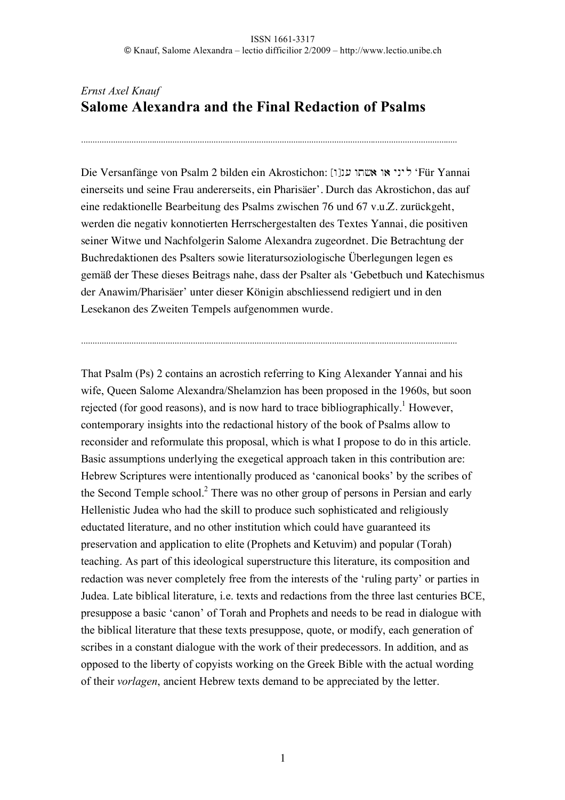# *Ernst Axel Knauf* **Salome Alexandra and the Final Redaction of Psalms**

.....................................................................................................................................................................

Die Versanfänge von Psalm 2 bilden ein Akrostichon: ליני או אשתו ענ[ו] (יכול או א einerseits und seine Frau andererseits, ein Pharisäer'. Durch das Akrostichon, das auf eine redaktionelle Bearbeitung des Psalms zwischen 76 und 67 v.u.Z. zurückgeht, werden die negativ konnotierten Herrschergestalten des Textes Yannai, die positiven seiner Witwe und Nachfolgerin Salome Alexandra zugeordnet. Die Betrachtung der Buchredaktionen des Psalters sowie literatursoziologische Überlegungen legen es gemäß der These dieses Beitrags nahe, dass der Psalter als 'Gebetbuch und Katechismus der Anawim/Pharisäer' unter dieser Königin abschliessend redigiert und in den Lesekanon des Zweiten Tempels aufgenommen wurde.

.....................................................................................................................................................................

That Psalm (Ps) 2 contains an acrostich referring to King Alexander Yannai and his wife, Queen Salome Alexandra/Shelamzion has been proposed in the 1960s, but soon rejected (for good reasons), and is now hard to trace bibliographically.<sup>1</sup> However, contemporary insights into the redactional history of the book of Psalms allow to reconsider and reformulate this proposal, which is what I propose to do in this article. Basic assumptions underlying the exegetical approach taken in this contribution are: Hebrew Scriptures were intentionally produced as 'canonical books' by the scribes of the Second Temple school.<sup>2</sup> There was no other group of persons in Persian and early Hellenistic Judea who had the skill to produce such sophisticated and religiously eductated literature, and no other institution which could have guaranteed its preservation and application to elite (Prophets and Ketuvim) and popular (Torah) teaching. As part of this ideological superstructure this literature, its composition and redaction was never completely free from the interests of the 'ruling party' or parties in Judea. Late biblical literature, i.e. texts and redactions from the three last centuries BCE, presuppose a basic 'canon' of Torah and Prophets and needs to be read in dialogue with the biblical literature that these texts presuppose, quote, or modify, each generation of scribes in a constant dialogue with the work of their predecessors. In addition, and as opposed to the liberty of copyists working on the Greek Bible with the actual wording of their *vorlagen*, ancient Hebrew texts demand to be appreciated by the letter.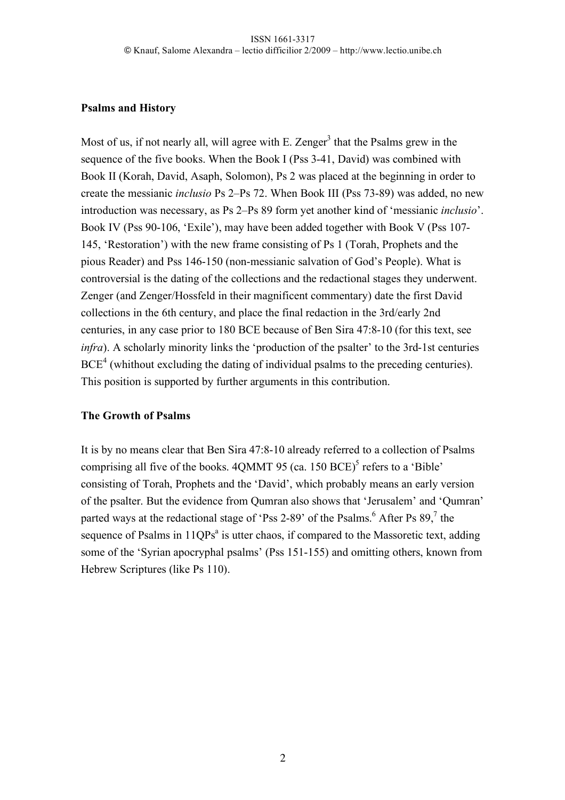### **Psalms and History**

Most of us, if not nearly all, will agree with E. Zenger<sup>3</sup> that the Psalms grew in the sequence of the five books. When the Book I (Pss 3-41, David) was combined with Book II (Korah, David, Asaph, Solomon), Ps 2 was placed at the beginning in order to create the messianic *inclusio* Ps 2–Ps 72. When Book III (Pss 73-89) was added, no new introduction was necessary, as Ps 2–Ps 89 form yet another kind of 'messianic *inclusio*'. Book IV (Pss 90-106, 'Exile'), may have been added together with Book V (Pss 107- 145, 'Restoration') with the new frame consisting of Ps 1 (Torah, Prophets and the pious Reader) and Pss 146-150 (non-messianic salvation of God's People). What is controversial is the dating of the collections and the redactional stages they underwent. Zenger (and Zenger/Hossfeld in their magnificent commentary) date the first David collections in the 6th century, and place the final redaction in the 3rd/early 2nd centuries, in any case prior to 180 BCE because of Ben Sira 47:8-10 (for this text, see *infra*). A scholarly minority links the 'production of the psalter' to the 3rd-1st centuries  $BCE<sup>4</sup>$  (whithout excluding the dating of individual psalms to the preceding centuries). This position is supported by further arguments in this contribution.

## **The Growth of Psalms**

It is by no means clear that Ben Sira 47:8-10 already referred to a collection of Psalms comprising all five of the books.  $4QMMT$  95 (ca. 150 BCE)<sup>5</sup> refers to a 'Bible' consisting of Torah, Prophets and the 'David', which probably means an early version of the psalter. But the evidence from Qumran also shows that 'Jerusalem' and 'Qumran' parted ways at the redactional stage of 'Pss 2-89' of the Psalms.<sup>6</sup> After Ps  $89$ ,  $7$  the sequence of Psalms in 11QPs<sup>a</sup> is utter chaos, if compared to the Massoretic text, adding some of the 'Syrian apocryphal psalms' (Pss 151-155) and omitting others, known from Hebrew Scriptures (like Ps 110).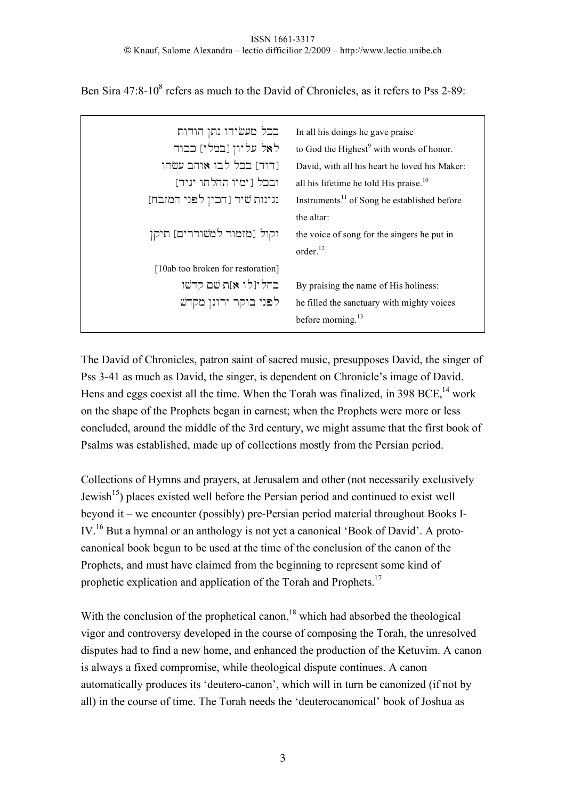Ben Sira  $47:8-10^8$  refers as much to the David of Chronicles, as it refers to Pss 2-89:

| בכל מעשיהו נתן הודות              | In all his doings he gave praise                        |
|-----------------------------------|---------------------------------------------------------|
|                                   |                                                         |
| לאל עליון [במלי] כבוד             | to God the Highest <sup>9</sup> with words of honor.    |
| [דוד] בכל לבו אוהב עשהו           | David, with all his heart he loved his Maker:           |
| ובכל [ימיו תהלתו יגיד]            | all his lifetime he told His praise. $10$               |
| נגינות שיר [הכין לפני המזבח]      | Instruments <sup>11</sup> of Song he established before |
|                                   | the altar:                                              |
| וקול [מזמור למשוררים] תיקן        | the voice of song for the singers he put in             |
|                                   | order. <sup>12</sup>                                    |
| [10ab too broken for restoration] |                                                         |
| בהלינלו א]ת שם קדשו               | By praising the name of His holiness:                   |
| לפני בוקר ירונן מקדש              | he filled the sanctuary with mighty voices              |
|                                   | before morning. $13$                                    |
|                                   |                                                         |

The David of Chronicles, patron saint of sacred music, presupposes David, the singer of Pss 3-41 as much as David, the singer, is dependent on Chronicle's image of David. Hens and eggs coexist all the time. When the Torah was finalized, in 398 BCE,  $^{14}$  work on the shape of the Prophets began in earnest; when the Prophets were more or less concluded, around the middle of the 3rd century, we might assume that the first book of Psalms was established, made up of collections mostly from the Persian period.

Collections of Hymns and prayers, at Jerusalem and other (not necessarily exclusively Jewish<sup>15</sup>) places existed well before the Persian period and continued to exist well beyond it – we encounter (possibly) pre-Persian period material throughout Books I-IV.16 But a hymnal or an anthology is not yet a canonical 'Book of David'. A protocanonical book begun to be used at the time of the conclusion of the canon of the Prophets, and must have claimed from the beginning to represent some kind of prophetic explication and application of the Torah and Prophets.<sup>17</sup>

With the conclusion of the prophetical canon.<sup>18</sup> which had absorbed the theological vigor and controversy developed in the course of composing the Torah, the unresolved disputes had to find a new home, and enhanced the production of the Ketuvim. A canon is always a fixed compromise, while theological dispute continues. A canon automatically produces its 'deutero-canon', which will in turn be canonized (if not by all) in the course of time. The Torah needs the 'deuterocanonical' book of Joshua as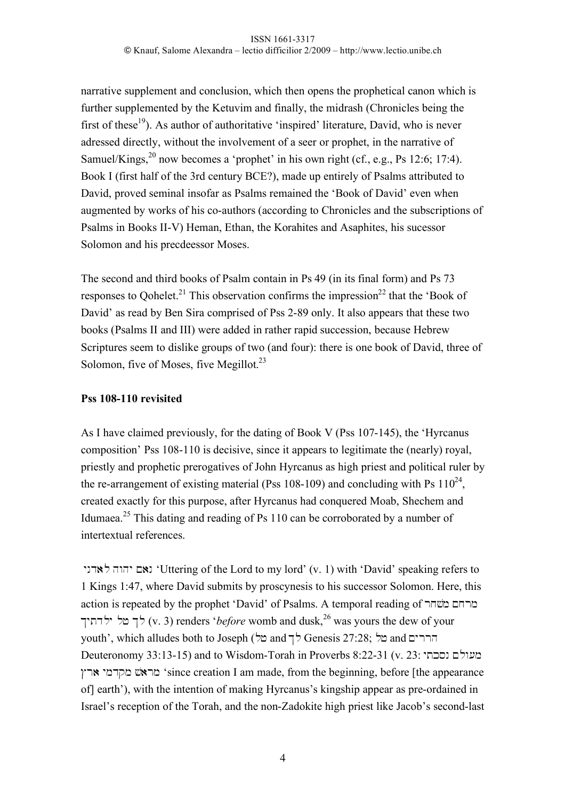narrative supplement and conclusion, which then opens the prophetical canon which is further supplemented by the Ketuvim and finally, the midrash (Chronicles being the first of these<sup>19</sup>). As author of authoritative 'inspired' literature, David, who is never adressed directly, without the involvement of a seer or prophet, in the narrative of Samuel/Kings,  $^{20}$  now becomes a 'prophet' in his own right (cf., e.g., Ps 12:6; 17:4). Book I (first half of the 3rd century BCE?), made up entirely of Psalms attributed to David, proved seminal insofar as Psalms remained the 'Book of David' even when augmented by works of his co-authors (according to Chronicles and the subscriptions of Psalms in Books II-V) Heman, Ethan, the Korahites and Asaphites, his sucessor Solomon and his precdeessor Moses.

The second and third books of Psalm contain in Ps 49 (in its final form) and Ps 73 responses to Qohelet.<sup>21</sup> This observation confirms the impression<sup>22</sup> that the 'Book of David' as read by Ben Sira comprised of Pss 2-89 only. It also appears that these two books (Psalms II and III) were added in rather rapid succession, because Hebrew Scriptures seem to dislike groups of two (and four): there is one book of David, three of Solomon, five of Moses, five Megillot.<sup>23</sup>

## **Pss 108-110 revisited**

As I have claimed previously, for the dating of Book V (Pss 107-145), the 'Hyrcanus composition' Pss 108-110 is decisive, since it appears to legitimate the (nearly) royal, priestly and prophetic prerogatives of John Hyrcanus as high priest and political ruler by the re-arrangement of existing material (Pss 108-109) and concluding with Ps  $110^{24}$ . created exactly for this purpose, after Hyrcanus had conquered Moab, Shechem and Idumaea.<sup>25</sup> This dating and reading of Ps 110 can be corroborated by a number of intertextual references.

יהוה לאדני 'Uttering of the Lord to my lord' (v. 1) with 'David' speaking refers to 1 Kings 1:47, where David submits by proscynesis to his successor Solomon. Here, this action is repeated by the prophet 'David' of Psalms. A temporal reading of מרחם משחר לך מל ילדתיך (v. 3) renders '*before* womb and dusk,<sup>26</sup> was yours the dew of your youth', which alludes both to Joseph (ררים and לך Genesis 27:28; and הררים Deuteronomy 33:13-15) and to Wisdom-Torah in Proverbs 8:22-31 (v. 23: מעולם נסכתי Cr) ymdqm #\$)rm 'since creation I am made, from the beginning, before [the appearance of] earth'), with the intention of making Hyrcanus's kingship appear as pre-ordained in Israel's reception of the Torah, and the non-Zadokite high priest like Jacob's second-last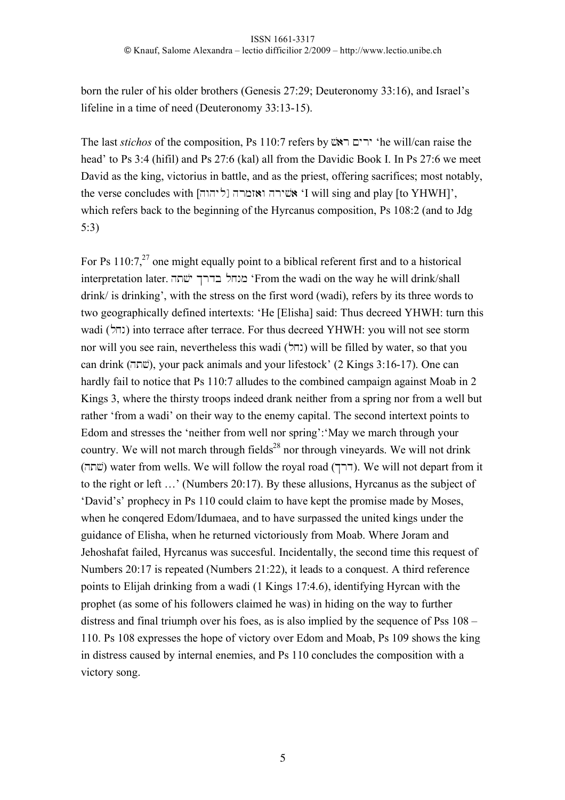born the ruler of his older brothers (Genesis 27:29; Deuteronomy 33:16), and Israel's lifeline in a time of need (Deuteronomy 33:13-15).

The last *stichos* of the composition, Ps 110:7 refers by  $\overline{X}$ ירים ראש 'he will/can raise the head' to Ps 3:4 (hifil) and Ps 27:6 (kal) all from the Davidic Book I. In Ps 27:6 we meet David as the king, victorius in battle, and as the priest, offering sacrifices; most notably, the verse concludes with  $\lceil \cdot \rceil$ ליהוה ואזמרה  $\lceil \cdot \rceil$  will sing and play [to YHWH]', which refers back to the beginning of the Hyrcanus composition, Ps 108:2 (and to Jdg 5:3)

For Ps  $110:7<sup>27</sup>$  one might equally point to a biblical referent first and to a historical interpretation later. מנחל בדרך ישתה 'From the wadi on the way he will drink/shall drink/ is drinking', with the stress on the first word (wadi), refers by its three words to two geographically defined intertexts: 'He [Elisha] said: Thus decreed YHWH: turn this wadi (נחל) into terrace after terrace. For thus decreed YHWH: you will not see storm nor will you see rain, nevertheless this wadi (נחל) will be filled by water, so that you can drink (ht#\$), your pack animals and your lifestock' (2 Kings 3:16-17). One can hardly fail to notice that Ps 110:7 alludes to the combined campaign against Moab in 2 Kings 3, where the thirsty troops indeed drank neither from a spring nor from a well but rather 'from a wadi' on their way to the enemy capital. The second intertext points to Edom and stresses the 'neither from well nor spring':'May we march through your country. We will not march through fields<sup>28</sup> nor through vineyards. We will not drink שׂתה) water from wells. We will follow the royal road (דרך). We will not depart from it to the right or left …' (Numbers 20:17). By these allusions, Hyrcanus as the subject of 'David's' prophecy in Ps 110 could claim to have kept the promise made by Moses, when he conqered Edom/Idumaea, and to have surpassed the united kings under the guidance of Elisha, when he returned victoriously from Moab. Where Joram and Jehoshafat failed, Hyrcanus was succesful. Incidentally, the second time this request of Numbers 20:17 is repeated (Numbers 21:22), it leads to a conquest. A third reference points to Elijah drinking from a wadi (1 Kings 17:4.6), identifying Hyrcan with the prophet (as some of his followers claimed he was) in hiding on the way to further distress and final triumph over his foes, as is also implied by the sequence of Pss 108 – 110. Ps 108 expresses the hope of victory over Edom and Moab, Ps 109 shows the king in distress caused by internal enemies, and Ps 110 concludes the composition with a victory song.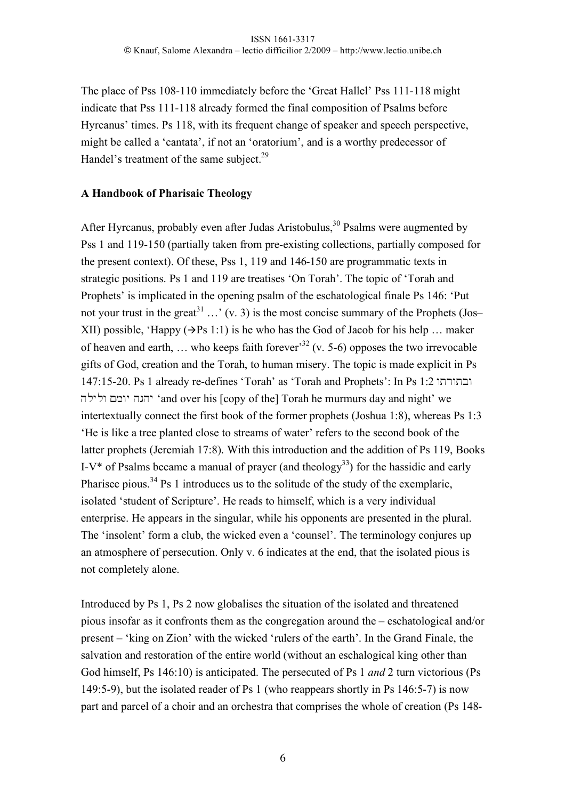The place of Pss 108-110 immediately before the 'Great Hallel' Pss 111-118 might indicate that Pss 111-118 already formed the final composition of Psalms before Hyrcanus' times. Ps 118, with its frequent change of speaker and speech perspective, might be called a 'cantata', if not an 'oratorium', and is a worthy predecessor of Handel's treatment of the same subject.<sup>29</sup>

### **A Handbook of Pharisaic Theology**

After Hyrcanus, probably even after Judas Aristobulus,  $30$  Psalms were augmented by Pss 1 and 119-150 (partially taken from pre-existing collections, partially composed for the present context). Of these, Pss 1, 119 and 146-150 are programmatic texts in strategic positions. Ps 1 and 119 are treatises 'On Torah'. The topic of 'Torah and Prophets' is implicated in the opening psalm of the eschatological finale Ps 146: 'Put not your trust in the great<sup>31</sup> ...' (v. 3) is the most concise summary of the Prophets (Jos– XII) possible, 'Happy ( $\rightarrow$ Ps 1:1) is he who has the God of Jacob for his help ... maker of heaven and earth, ... who keeps faith forever<sup>32</sup> (v. 5-6) opposes the two irrevocable gifts of God, creation and the Torah, to human misery. The topic is made explicit in Ps 147:15-20. Ps 1 already re-defines 'Torah' as 'Torah and Prophets': In Ps 1:2 ובתורתו hlylw Mmwy hghy 'and over his [copy of the] Torah he murmurs day and night' we intertextually connect the first book of the former prophets (Joshua 1:8), whereas Ps 1:3 'He is like a tree planted close to streams of water' refers to the second book of the latter prophets (Jeremiah 17:8). With this introduction and the addition of Ps 119, Books I-V<sup>\*</sup> of Psalms became a manual of prayer (and theology<sup>33</sup>) for the hassidic and early Pharisee pious.<sup>34</sup> Ps 1 introduces us to the solitude of the study of the exemplaric, isolated 'student of Scripture'. He reads to himself, which is a very individual enterprise. He appears in the singular, while his opponents are presented in the plural. The 'insolent' form a club, the wicked even a 'counsel'. The terminology conjures up an atmosphere of persecution. Only v. 6 indicates at the end, that the isolated pious is not completely alone.

Introduced by Ps 1, Ps 2 now globalises the situation of the isolated and threatened pious insofar as it confronts them as the congregation around the – eschatological and/or present – 'king on Zion' with the wicked 'rulers of the earth'. In the Grand Finale, the salvation and restoration of the entire world (without an eschalogical king other than God himself, Ps 146:10) is anticipated. The persecuted of Ps 1 *and* 2 turn victorious (Ps 149:5-9), but the isolated reader of Ps 1 (who reappears shortly in Ps 146:5-7) is now part and parcel of a choir and an orchestra that comprises the whole of creation (Ps 148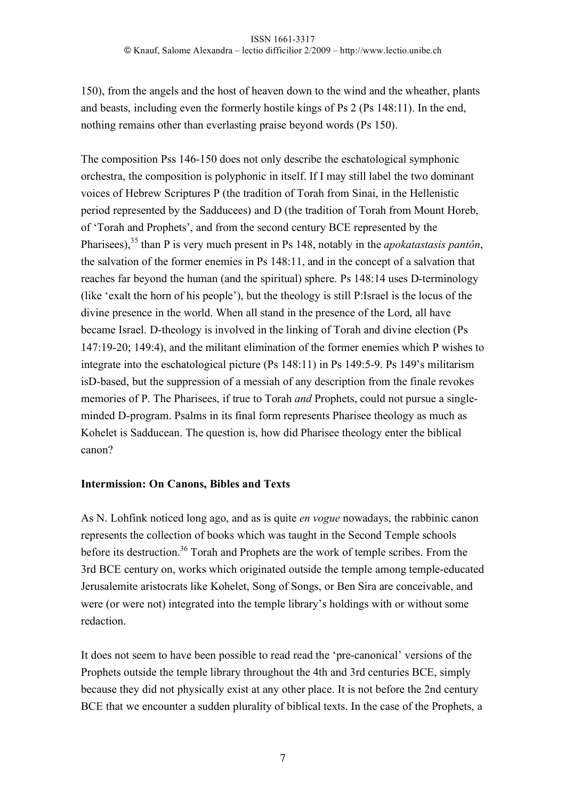150), from the angels and the host of heaven down to the wind and the wheather, plants and beasts, including even the formerly hostile kings of Ps 2 (Ps 148:11). In the end, nothing remains other than everlasting praise beyond words (Ps 150).

The composition Pss 146-150 does not only describe the eschatological symphonic orchestra, the composition is polyphonic in itself. If I may still label the two dominant voices of Hebrew Scriptures P (the tradition of Torah from Sinai, in the Hellenistic period represented by the Sadducees) and D (the tradition of Torah from Mount Horeb, of 'Torah and Prophets', and from the second century BCE represented by the Pharisees),<sup>35</sup> than P is very much present in Ps 148, notably in the *apokatastasis pantôn*, the salvation of the former enemies in Ps 148:11, and in the concept of a salvation that reaches far beyond the human (and the spiritual) sphere. Ps 148:14 uses D-terminology (like 'exalt the horn of his people'), but the theology is still P:Israel is the locus of the divine presence in the world. When all stand in the presence of the Lord, all have became Israel. D-theology is involved in the linking of Torah and divine election (Ps 147:19-20; 149:4), and the militant elimination of the former enemies which P wishes to integrate into the eschatological picture (Ps 148:11) in Ps 149:5-9. Ps 149's militarism isD-based, but the suppression of a messiah of any description from the finale revokes memories of P. The Pharisees, if true to Torah *and* Prophets, could not pursue a singleminded D-program. Psalms in its final form represents Pharisee theology as much as Kohelet is Sadducean. The question is, how did Pharisee theology enter the biblical canon?

## **Intermission: On Canons, Bibles and Texts**

As N. Lohfink noticed long ago, and as is quite *en vogue* nowadays, the rabbinic canon represents the collection of books which was taught in the Second Temple schools before its destruction.<sup>36</sup> Torah and Prophets are the work of temple scribes. From the 3rd BCE century on, works which originated outside the temple among temple-educated Jerusalemite aristocrats like Kohelet, Song of Songs, or Ben Sira are conceivable, and were (or were not) integrated into the temple library's holdings with or without some redaction.

It does not seem to have been possible to read read the 'pre-canonical' versions of the Prophets outside the temple library throughout the 4th and 3rd centuries BCE, simply because they did not physically exist at any other place. It is not before the 2nd century BCE that we encounter a sudden plurality of biblical texts. In the case of the Prophets, a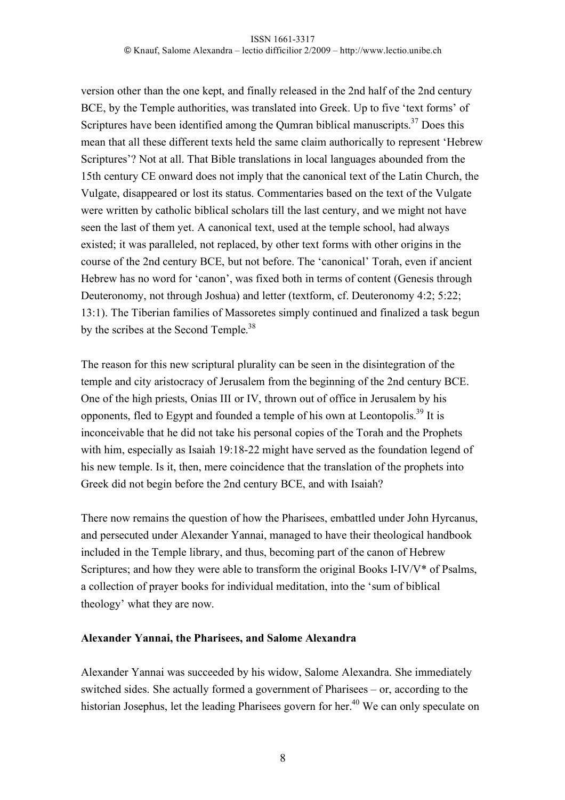version other than the one kept, and finally released in the 2nd half of the 2nd century BCE, by the Temple authorities, was translated into Greek. Up to five 'text forms' of Scriptures have been identified among the Qumran biblical manuscripts.<sup>37</sup> Does this mean that all these different texts held the same claim authorically to represent 'Hebrew Scriptures'? Not at all. That Bible translations in local languages abounded from the 15th century CE onward does not imply that the canonical text of the Latin Church, the Vulgate, disappeared or lost its status. Commentaries based on the text of the Vulgate were written by catholic biblical scholars till the last century, and we might not have seen the last of them yet. A canonical text, used at the temple school, had always existed; it was paralleled, not replaced, by other text forms with other origins in the course of the 2nd century BCE, but not before. The 'canonical' Torah, even if ancient Hebrew has no word for 'canon', was fixed both in terms of content (Genesis through Deuteronomy, not through Joshua) and letter (textform, cf. Deuteronomy 4:2; 5:22; 13:1). The Tiberian families of Massoretes simply continued and finalized a task begun by the scribes at the Second Temple.<sup>38</sup>

The reason for this new scriptural plurality can be seen in the disintegration of the temple and city aristocracy of Jerusalem from the beginning of the 2nd century BCE. One of the high priests, Onias III or IV, thrown out of office in Jerusalem by his opponents, fled to Egypt and founded a temple of his own at Leontopolis.<sup>39</sup> It is inconceivable that he did not take his personal copies of the Torah and the Prophets with him, especially as Isaiah 19:18-22 might have served as the foundation legend of his new temple. Is it, then, mere coincidence that the translation of the prophets into Greek did not begin before the 2nd century BCE, and with Isaiah?

There now remains the question of how the Pharisees, embattled under John Hyrcanus, and persecuted under Alexander Yannai, managed to have their theological handbook included in the Temple library, and thus, becoming part of the canon of Hebrew Scriptures; and how they were able to transform the original Books I-IV/V\* of Psalms, a collection of prayer books for individual meditation, into the 'sum of biblical theology' what they are now.

#### **Alexander Yannai, the Pharisees, and Salome Alexandra**

Alexander Yannai was succeeded by his widow, Salome Alexandra. She immediately switched sides. She actually formed a government of Pharisees – or, according to the historian Josephus, let the leading Pharisees govern for her.<sup>40</sup> We can only speculate on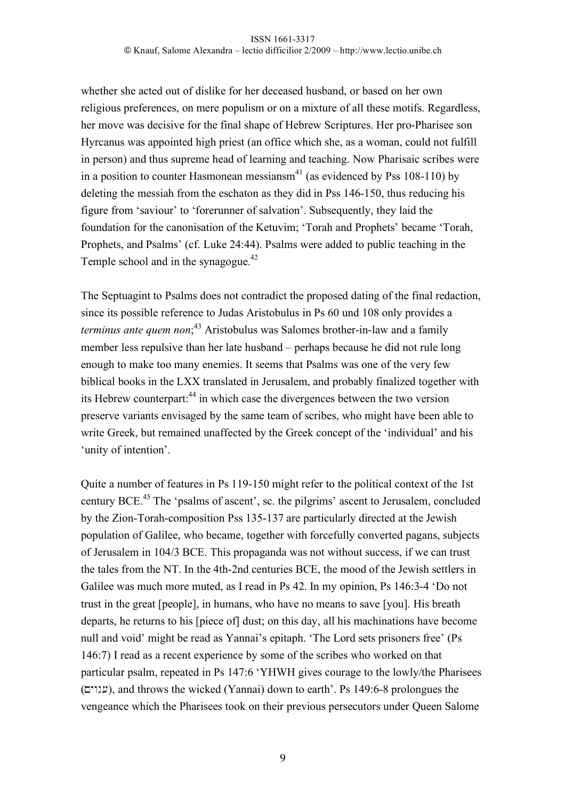whether she acted out of dislike for her deceased husband, or based on her own religious preferences, on mere populism or on a mixture of all these motifs. Regardless, her move was decisive for the final shape of Hebrew Scriptures. Her pro-Pharisee son Hyrcanus was appointed high priest (an office which she, as a woman, could not fulfill in person) and thus supreme head of learning and teaching. Now Pharisaic scribes were in a position to counter Hasmonean messiansm<sup>41</sup> (as evidenced by Pss 108-110) by deleting the messiah from the eschaton as they did in Pss 146-150, thus reducing his figure from 'saviour' to 'forerunner of salvation'. Subsequently, they laid the foundation for the canonisation of the Ketuvim; 'Torah and Prophets' became 'Torah, Prophets, and Psalms' (cf. Luke 24:44). Psalms were added to public teaching in the Temple school and in the synagogue. $42$ 

The Septuagint to Psalms does not contradict the proposed dating of the final redaction, since its possible reference to Judas Aristobulus in Ps 60 und 108 only provides a *terminus ante quem non*; 43 Aristobulus was Salomes brother-in-law and a family member less repulsive than her late husband – perhaps because he did not rule long enough to make too many enemies. It seems that Psalms was one of the very few biblical books in the LXX translated in Jerusalem, and probably finalized together with its Hebrew counterpart:<sup>44</sup> in which case the divergences between the two version preserve variants envisaged by the same team of scribes, who might have been able to write Greek, but remained unaffected by the Greek concept of the 'individual' and his 'unity of intention'.

Quite a number of features in Ps 119-150 might refer to the political context of the 1st century BCE.45 The 'psalms of ascent', sc. the pilgrims' ascent to Jerusalem, concluded by the Zion-Torah-composition Pss 135-137 are particularly directed at the Jewish population of Galilee, who became, together with forcefully converted pagans, subjects of Jerusalem in 104/3 BCE. This propaganda was not without success, if we can trust the tales from the NT. In the 4th-2nd centuries BCE, the mood of the Jewish settlers in Galilee was much more muted, as I read in Ps 42. In my opinion, Ps 146:3-4 'Do not trust in the great [people], in humans, who have no means to save [you]. His breath departs, he returns to his [piece of] dust; on this day, all his machinations have become null and void' might be read as Yannai's epitaph. 'The Lord sets prisoners free' (Ps 146:7) I read as a recent experience by some of the scribes who worked on that particular psalm, repeated in Ps 147:6 'YHWH gives courage to the lowly/the Pharisees (Mywn(), and throws the wicked (Yannai) down to earth'. Ps 149:6-8 prolongues the vengeance which the Pharisees took on their previous persecutors under Queen Salome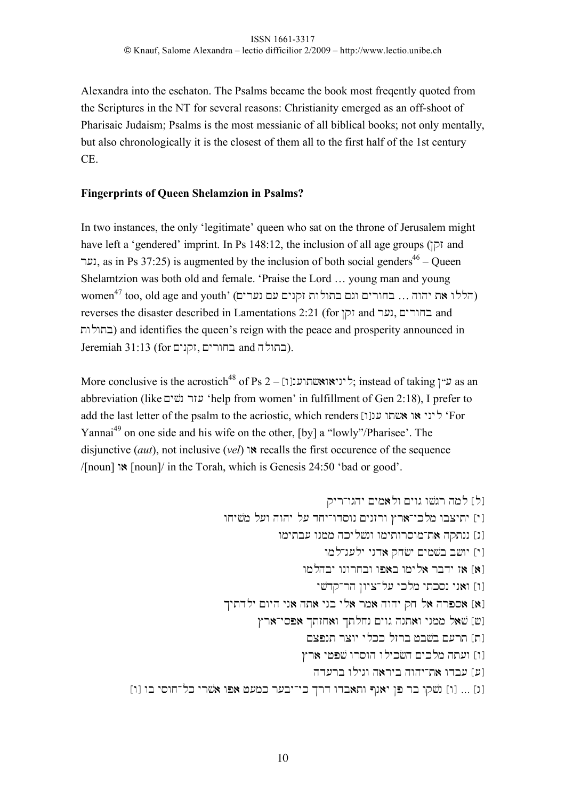Alexandra into the eschaton. The Psalms became the book most freqently quoted from the Scriptures in the NT for several reasons: Christianity emerged as an off-shoot of Pharisaic Judaism; Psalms is the most messianic of all biblical books; not only mentally, but also chronologically it is the closest of them all to the first half of the 1st century CE.

## **Fingerprints of Queen Shelamzion in Psalms?**

In two instances, the only 'legitimate' queen who sat on the throne of Jerusalem might have left a 'gendered' imprint. In Ps 148:12, the inclusion of all age groups ( $\vert \overline{\rho} \rangle$  and (נער, as in Ps 37:25) is augmented by the inclusion of both social genders<sup>46</sup> – Queen Shelamtzion was both old and female. 'Praise the Lord … young man and young  $\sigma$ דללו את יהוה … בחורים וגם בתולות זקנים עם נערים) (הללו את יהוה  $\sigma$  Momen $^{\rm 47}$  too, old age and youth' ( reverses the disaster described in Lamentations 2:21 (for החורים, נער and reverses the disaster described in Lamentations 2:21 בתולות) and identifies the queen's reign with the peace and prosperity announced in Jeremiah 31:13 (for בחורים, זקנים).

More conclusive is the acrostich<sup>48</sup> of Ps 2 – [[עייאואשתוענן  $\tau$ ; instead of taking  $\tau$ ") as an abbreviation (like עזר נשים 'help from women' in fulfillment of Gen 2:18), I prefer to add the last letter of the psalm to the acriostic, which renders [ט' ליני או אשתו ענן 'For Yannai<sup>49</sup> on one side and his wife on the other, [by] a "lowly"/Pharisee'. The disjunctive (*aut*), not inclusive (*vel*) w) recalls the first occurence of the sequence /[noun] w) [noun]/ in the Torah, which is Genesis 24:50 'bad or good'.

qyr-wghy Mym)lw Mywg w#\$gr hml [l] wxy#\$m l(w hwhy l( dxy-wdswn Mynzrw Cr)-yklm wbcyty [y] wmytb( wnmm hkyl#\$nw wmytwrswm-t) hqtnn [n] wml-g(ly ynd) qx#&y Mym#\$b b#wy [y] wmlhby wnwrxbw wp)b wmyl) rbdy z) [)] y#\$dq-rh Nwyc-l( yklm ytksn yn)w [w] Kytdly Mwyh yn) ht) ynb yl) rm) hwhy qx l) hrps) [)] Cr)-ysp) Ktzx)w Ktlxn Mywg hnt)w ynmm l)#\$ [#] Mcpnt rcwy ylkk lzrb +b#\$b M(rt [t] Cr) y+p#\$ wrswh wlyk#&h Myklm ht(w [w] hd(rb wlygw h)ryb hwhy-t) wdb( [(] [w] wb yswx-lk yr#\$) wp) +(mk r(by-yk Krd wdb)tw Pn)y Np rb wq#\$n [w] … [n]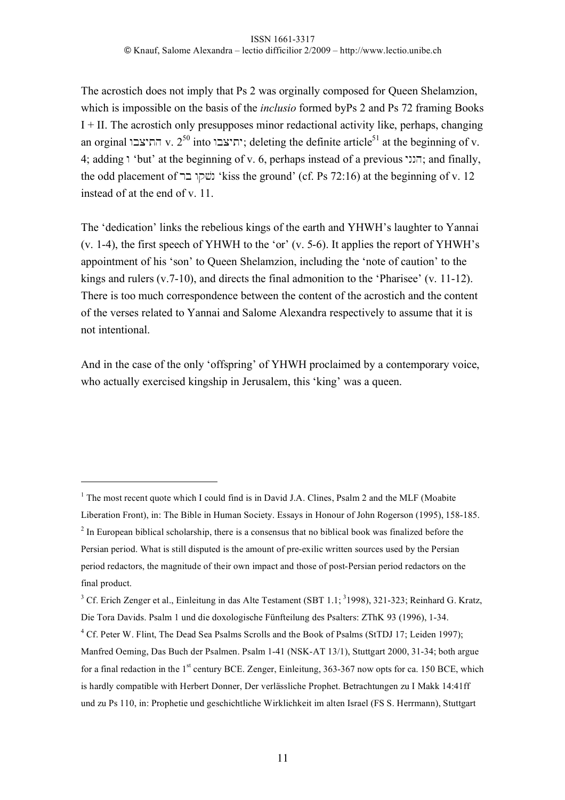The acrostich does not imply that Ps 2 was orginally composed for Queen Shelamzion, which is impossible on the basis of the *inclusio* formed byPs 2 and Ps 72 framing Books I + II. The acrostich only presupposes minor redactional activity like, perhaps, changing an orginal  $v_1$ א התיצבו: deleting the definite article<sup>51</sup> at the beginning of v. 4; adding "but' at the beginning of v. 6, perhaps instead of a previous  $\pi$ ; and finally, the odd placement of ' נשקו בר' kiss the ground' (cf. Ps 72:16) at the beginning of v. 12 instead of at the end of v. 11.

The 'dedication' links the rebelious kings of the earth and YHWH's laughter to Yannai (v. 1-4), the first speech of YHWH to the 'or' (v. 5-6). It applies the report of YHWH's appointment of his 'son' to Queen Shelamzion, including the 'note of caution' to the kings and rulers (v.7-10), and directs the final admonition to the 'Pharisee' (v. 11-12). There is too much correspondence between the content of the acrostich and the content of the verses related to Yannai and Salome Alexandra respectively to assume that it is not intentional.

And in the case of the only 'offspring' of YHWH proclaimed by a contemporary voice, who actually exercised kingship in Jerusalem, this 'king' was a queen.

 $\overline{a}$ 

<sup>&</sup>lt;sup>1</sup> The most recent quote which I could find is in David J.A. Clines, Psalm 2 and the MLF (Moabite

Liberation Front), in: The Bible in Human Society. Essays in Honour of John Rogerson (1995), 158-185.  $2^{2}$  In European biblical scholarship, there is a consensus that no biblical book was finalized before the Persian period. What is still disputed is the amount of pre-exilic written sources used by the Persian period redactors, the magnitude of their own impact and those of post-Persian period redactors on the final product.

 $3$  Cf. Erich Zenger et al., Einleitung in das Alte Testament (SBT 1.1;  $3$ 1998), 321-323; Reinhard G. Kratz, Die Tora Davids. Psalm 1 und die doxologische Fünfteilung des Psalters: ZThK 93 (1996), 1-34.

<sup>&</sup>lt;sup>4</sup> Cf. Peter W. Flint, The Dead Sea Psalms Scrolls and the Book of Psalms (StTDJ 17; Leiden 1997); Manfred Oeming, Das Buch der Psalmen. Psalm 1-41 (NSK-AT 13/1), Stuttgart 2000, 31-34; both argue for a final redaction in the 1<sup>st</sup> century BCE. Zenger, Einleitung, 363-367 now opts for ca. 150 BCE, which is hardly compatible with Herbert Donner, Der verlässliche Prophet. Betrachtungen zu I Makk 14:41ff und zu Ps 110, in: Prophetie und geschichtliche Wirklichkeit im alten Israel (FS S. Herrmann), Stuttgart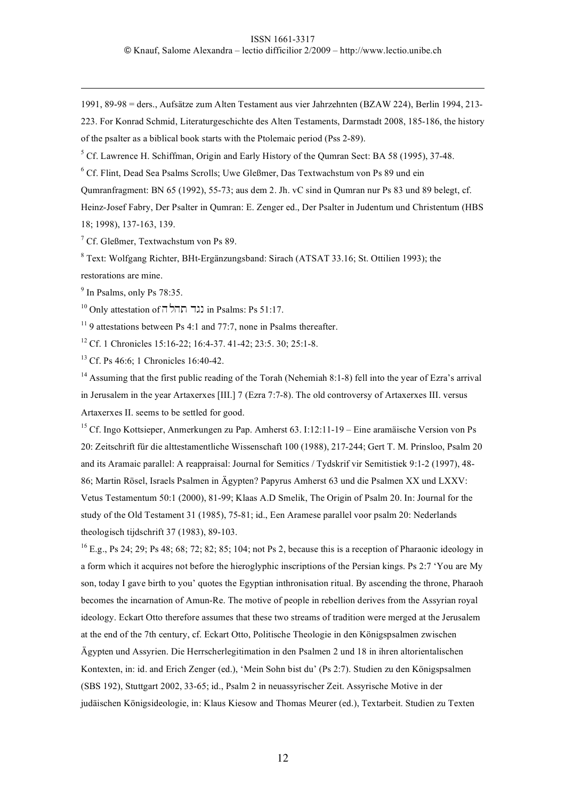1991, 89-98 = ders., Aufsätze zum Alten Testament aus vier Jahrzehnten (BZAW 224), Berlin 1994, 213-

223. For Konrad Schmid, Literaturgeschichte des Alten Testaments, Darmstadt 2008, 185-186, the history of the psalter as a biblical book starts with the Ptolemaic period (Pss 2-89).

<sup>5</sup> Cf. Lawrence H. Schiffman, Origin and Early History of the Qumran Sect: BA 58 (1995), 37-48.

6 Cf. Flint, Dead Sea Psalms Scrolls; Uwe Gleßmer, Das Textwachstum von Ps 89 und ein

Qumranfragment: BN 65 (1992), 55-73; aus dem 2. Jh. vC sind in Qumran nur Ps 83 und 89 belegt, cf.

Heinz-Josef Fabry, Der Psalter in Qumran: E. Zenger ed., Der Psalter in Judentum und Christentum (HBS 18; 1998), 137-163, 139.

7 Cf. Gleßmer, Textwachstum von Ps 89.

<sup>8</sup> Text: Wolfgang Richter, BHt-Ergänzungsband: Sirach (ATSAT 33.16; St. Ottilien 1993); the restorations are mine.

<sup>9</sup> In Psalms, only Ps 78:35.

 $\overline{a}$ 

 $10$  Only attestation of  $\overline{0}$ תה  $\overline{1}$ נגד  $\overline{1}$  in Psalms: Ps 51:17.

 $11$  9 attestations between Ps 4:1 and 77:7, none in Psalms thereafter.

12 Cf. 1 Chronicles 15:16-22; 16:4-37. 41-42; 23:5. 30; 25:1-8.

<sup>13</sup> Cf. Ps 46:6: 1 Chronicles 16:40-42.

<sup>14</sup> Assuming that the first public reading of the Torah (Nehemiah 8:1-8) fell into the year of Ezra's arrival in Jerusalem in the year Artaxerxes [III.] 7 (Ezra 7:7-8). The old controversy of Artaxerxes III. versus Artaxerxes II. seems to be settled for good.

<sup>15</sup> Cf. Ingo Kottsieper, Anmerkungen zu Pap. Amherst 63. I:12:11-19 – Eine aramäische Version von Ps 20: Zeitschrift für die alttestamentliche Wissenschaft 100 (1988), 217-244; Gert T. M. Prinsloo, Psalm 20 and its Aramaic parallel: A reappraisal: Journal for Semitics / Tydskrif vir Semitistiek 9:1-2 (1997), 48- 86; Martin Rösel, Israels Psalmen in Ägypten? Papyrus Amherst 63 und die Psalmen XX und LXXV: Vetus Testamentum 50:1 (2000), 81-99; Klaas A.D Smelik, The Origin of Psalm 20. In: Journal for the study of the Old Testament 31 (1985), 75-81; id., Een Aramese parallel voor psalm 20: Nederlands theologisch tijdschrift 37 (1983), 89-103.

 $^{16}$  E.g., Ps 24; 29; Ps 48; 68; 72; 82; 85; 104; not Ps 2, because this is a reception of Pharaonic ideology in a form which it acquires not before the hieroglyphic inscriptions of the Persian kings. Ps 2:7 'You are My son, today I gave birth to you' quotes the Egyptian inthronisation ritual. By ascending the throne, Pharaoh becomes the incarnation of Amun-Re. The motive of people in rebellion derives from the Assyrian royal ideology. Eckart Otto therefore assumes that these two streams of tradition were merged at the Jerusalem at the end of the 7th century, cf. Eckart Otto, Politische Theologie in den Königspsalmen zwischen Ägypten und Assyrien. Die Herrscherlegitimation in den Psalmen 2 und 18 in ihren altorientalischen Kontexten, in: id. and Erich Zenger (ed.), 'Mein Sohn bist du' (Ps 2:7). Studien zu den Königspsalmen (SBS 192), Stuttgart 2002, 33-65; id., Psalm 2 in neuassyrischer Zeit. Assyrische Motive in der judäischen Königsideologie, in: Klaus Kiesow and Thomas Meurer (ed.), Textarbeit. Studien zu Texten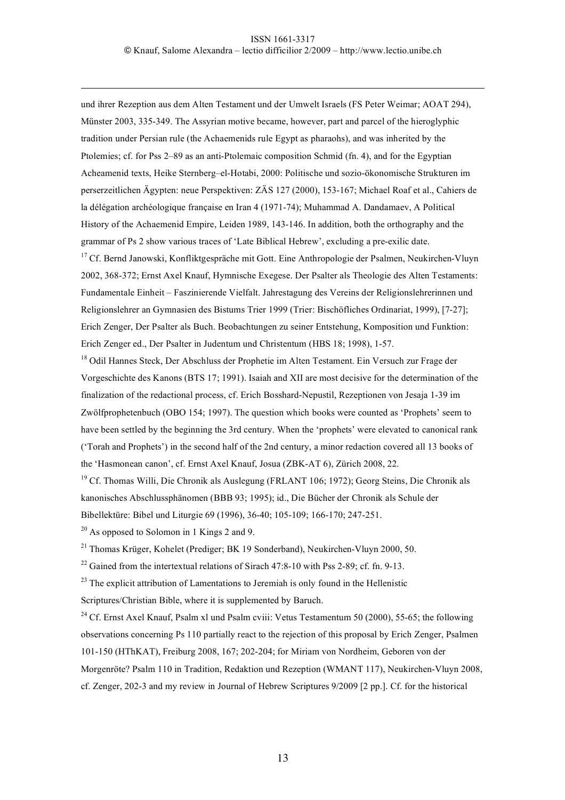und ihrer Rezeption aus dem Alten Testament und der Umwelt Israels (FS Peter Weimar; AOAT 294), Münster 2003, 335-349. The Assyrian motive became, however, part and parcel of the hieroglyphic tradition under Persian rule (the Achaemenids rule Egypt as pharaohs), and was inherited by the Ptolemies; cf. for Pss 2–89 as an anti-Ptolemaic composition Schmid (fn. 4), and for the Egyptian Acheamenid texts, Heike Sternberg–el-Hotabi, 2000: Politische und sozio-ökonomische Strukturen im perserzeitlichen Ägypten: neue Perspektiven: ZÄS 127 (2000), 153-167; Michael Roaf et al., Cahiers de la délégation archéologique française en Iran 4 (1971-74); Muhammad A. Dandamaev, A Political History of the Achaemenid Empire, Leiden 1989, 143-146. In addition, both the orthography and the grammar of Ps 2 show various traces of 'Late Biblical Hebrew', excluding a pre-exilic date.

<sup>17</sup> Cf. Bernd Janowski, Konfliktgespräche mit Gott. Eine Anthropologie der Psalmen, Neukirchen-Vluyn 2002, 368-372; Ernst Axel Knauf, Hymnische Exegese. Der Psalter als Theologie des Alten Testaments: Fundamentale Einheit – Faszinierende Vielfalt. Jahrestagung des Vereins der Religionslehrerinnen und Religionslehrer an Gymnasien des Bistums Trier 1999 (Trier: Bischöfliches Ordinariat, 1999), [7-27]; Erich Zenger, Der Psalter als Buch. Beobachtungen zu seiner Entstehung, Komposition und Funktion: Erich Zenger ed., Der Psalter in Judentum und Christentum (HBS 18; 1998), 1-57.

<sup>18</sup> Odil Hannes Steck, Der Abschluss der Prophetie im Alten Testament. Ein Versuch zur Frage der Vorgeschichte des Kanons (BTS 17; 1991). Isaiah and XII are most decisive for the determination of the finalization of the redactional process, cf. Erich Bosshard-Nepustil, Rezeptionen von Jesaja 1-39 im Zwölfprophetenbuch (OBO 154; 1997). The question which books were counted as 'Prophets' seem to have been settled by the beginning the 3rd century. When the 'prophets' were elevated to canonical rank ('Torah and Prophets') in the second half of the 2nd century, a minor redaction covered all 13 books of the 'Hasmonean canon', cf. Ernst Axel Knauf, Josua (ZBK-AT 6), Zürich 2008, 22.

<sup>19</sup> Cf. Thomas Willi, Die Chronik als Auslegung (FRLANT 106; 1972); Georg Steins, Die Chronik als kanonisches Abschlussphänomen (BBB 93; 1995); id., Die Bücher der Chronik als Schule der Bibellektüre: Bibel und Liturgie 69 (1996), 36-40; 105-109; 166-170; 247-251.

 $^{20}$  As opposed to Solomon in 1 Kings 2 and 9.

 $\overline{a}$ 

 $^{21}$  Thomas Krüger, Kohelet (Prediger; BK 19 Sonderband), Neukirchen-Vluyn 2000, 50.

 $22$  Gained from the intertextual relations of Sirach 47:8-10 with Pss 2-89; cf. fn. 9-13.

 $^{23}$  The explicit attribution of Lamentations to Jeremiah is only found in the Hellenistic Scriptures/Christian Bible, where it is supplemented by Baruch.

<sup>24</sup> Cf. Ernst Axel Knauf, Psalm xl und Psalm cviii: Vetus Testamentum 50 (2000), 55-65; the following observations concerning Ps 110 partially react to the rejection of this proposal by Erich Zenger, Psalmen 101-150 (HThKAT), Freiburg 2008, 167; 202-204; for Miriam von Nordheim, Geboren von der Morgenröte? Psalm 110 in Tradition, Redaktion und Rezeption (WMANT 117), Neukirchen-Vluyn 2008, cf. Zenger, 202-3 and my review in Journal of Hebrew Scriptures 9/2009 [2 pp.]. Cf. for the historical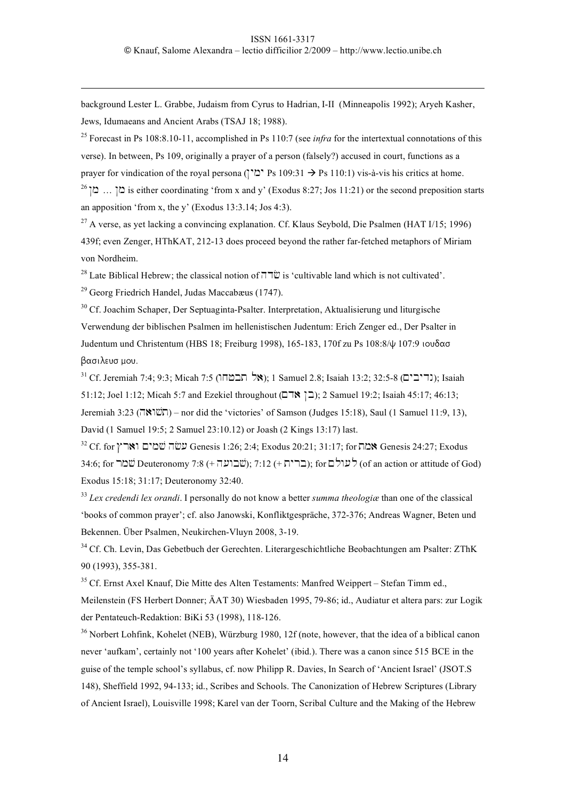background Lester L. Grabbe, Judaism from Cyrus to Hadrian, I-II (Minneapolis 1992); Aryeh Kasher, Jews, Idumaeans and Ancient Arabs (TSAJ 18; 1988).

<sup>25</sup> Forecast in Ps 108:8.10-11, accomplished in Ps 110:7 (see *infra* for the intertextual connotations of this verse). In between, Ps 109, originally a prayer of a person (falsely?) accused in court, functions as a prayer for vindication of the royal persona ("בין" Ps 109:31  $\rightarrow$  Ps 110:1) vis-à-vis his critics at home. <sup>26</sup>  $\ldots$  (1:21) is either coordinating 'from x and y' (Exodus 8:27; Jos 11:21) or the second preposition starts an apposition 'from x, the y' (Exodus  $13:3.14$ ; Jos  $4:3$ ).

<sup>27</sup> A verse, as yet lacking a convincing explanation. Cf. Klaus Seybold, Die Psalmen (HAT  $1/15$ ; 1996) 439f; even Zenger, HThKAT, 212-13 does proceed beyond the rather far-fetched metaphors of Miriam von Nordheim.

28 Late Biblical Hebrew; the classical notion of  $\overline{U} \overline{U}$  is 'cultivable land which is not cultivated'.

29 Georg Friedrich Handel, Judas Maccabæus (1747).

 $\overline{a}$ 

<sup>30</sup> Cf. Joachim Schaper, Der Septuaginta-Psalter. Interpretation, Aktualisierung und liturgische Verwendung der biblischen Psalmen im hellenistischen Judentum: Erich Zenger ed., Der Psalter in Judentum und Christentum (HBS 18; Freiburg 1998), 165-183, 170f zu Ps 108:8/y 107:9 ioudas βασιλευσ μου.

 $^{31}$  Cf. Jeremiah 7:4; 9:3; Micah 7:5 (תריבים); 1 Samuel 2.8; Isaiah 13:2; 32:5-8 (גדיבים); Isaiah 51:12; Joel 1:12; Micah 5:7 and Ezekiel throughout ( $\Box$  <a>Novement); 2 Samuel 19:2; Isaiah 45:17; 46:13; Jeremiah 3:23 (השואה) – nor did the 'victories' of Samson (Judges 15:18), Saul (1 Samuel 11:9, 13), David (1 Samuel 19:5; 2 Samuel 23:10.12) or Joash (2 Kings 13:17) last.

 $32$  Cf. for שמים וארץ Genesis 1:26; 2:4; Exodus 20:21; 31:17; for שמים Genesis 24:27; Exodus 34:6; for שמר Deuteronomy 7:8 (+ שברית); 7:12 (+ לעולם); for  $\vec{v}$  (of an action or attitude of God) Exodus 15:18; 31:17; Deuteronomy 32:40.

<sup>33</sup> *Lex credendi lex orandi*. I personally do not know a better *summa theologiæ* than one of the classical 'books of common prayer'; cf. also Janowski, Konfliktgespräche, 372-376; Andreas Wagner, Beten und Bekennen. Über Psalmen, Neukirchen-Vluyn 2008, 3-19.

<sup>34</sup> Cf. Ch. Levin, Das Gebetbuch der Gerechten. Literargeschichtliche Beobachtungen am Psalter: ZThK 90 (1993), 355-381.

<sup>35</sup> Cf. Ernst Axel Knauf, Die Mitte des Alten Testaments: Manfred Weippert – Stefan Timm ed., Meilenstein (FS Herbert Donner; ÄAT 30) Wiesbaden 1995, 79-86; id., Audiatur et altera pars: zur Logik der Pentateuch-Redaktion: BiKi 53 (1998), 118-126.

<sup>36</sup> Norbert Lohfink, Kohelet (NEB), Würzburg 1980, 12f (note, however, that the idea of a biblical canon never 'aufkam', certainly not '100 years after Kohelet' (ibid.). There was a canon since 515 BCE in the guise of the temple school's syllabus, cf. now Philipp R. Davies, In Search of 'Ancient Israel' (JSOT.S 148), Sheffield 1992, 94-133; id., Scribes and Schools. The Canonization of Hebrew Scriptures (Library of Ancient Israel), Louisville 1998; Karel van der Toorn, Scribal Culture and the Making of the Hebrew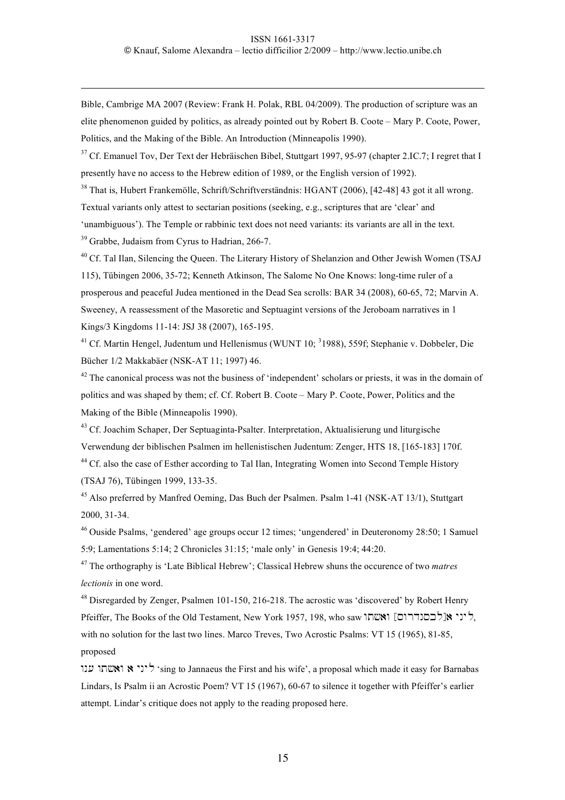Bible, Cambrige MA 2007 (Review: Frank H. Polak, RBL 04/2009). The production of scripture was an elite phenomenon guided by politics, as already pointed out by Robert B. Coote – Mary P. Coote, Power, Politics, and the Making of the Bible. An Introduction (Minneapolis 1990).

<sup>37</sup> Cf. Emanuel Tov, Der Text der Hebräischen Bibel, Stuttgart 1997, 95-97 (chapter 2.IC.7; I regret that I presently have no access to the Hebrew edition of 1989, or the English version of 1992).

<sup>38</sup> That is, Hubert Frankemölle, Schrift/Schriftverständnis: HGANT (2006), [42-48] 43 got it all wrong.

Textual variants only attest to sectarian positions (seeking, e.g., scriptures that are 'clear' and

'unambiguous'). The Temple or rabbinic text does not need variants: its variants are all in the text.

<sup>39</sup> Grabbe, Judaism from Cyrus to Hadrian, 266-7.

 $\overline{a}$ 

<sup>40</sup> Cf. Tal Ilan, Silencing the Queen. The Literary History of Shelanzion and Other Jewish Women (TSAJ 115), Tübingen 2006, 35-72; Kenneth Atkinson, The Salome No One Knows: long-time ruler of a prosperous and peaceful Judea mentioned in the Dead Sea scrolls: BAR 34 (2008), 60-65, 72; Marvin A. Sweeney, A reassessment of the Masoretic and Septuagint versions of the Jeroboam narratives in 1 Kings/3 Kingdoms 11-14: JSJ 38 (2007), 165-195.

<sup>41</sup> Cf. Martin Hengel, Judentum und Hellenismus (WUNT 10; <sup>3</sup>1988), 559f; Stephanie v. Dobbeler, Die Bücher 1/2 Makkabäer (NSK-AT 11; 1997) 46.

 $42$  The canonical process was not the business of 'independent' scholars or priests, it was in the domain of politics and was shaped by them; cf. Cf. Robert B. Coote – Mary P. Coote, Power, Politics and the Making of the Bible (Minneapolis 1990).

<sup>43</sup> Cf. Joachim Schaper, Der Septuaginta-Psalter. Interpretation, Aktualisierung und liturgische Verwendung der biblischen Psalmen im hellenistischen Judentum: Zenger, HTS 18, [165-183] 170f. <sup>44</sup> Cf. also the case of Esther according to Tal Ilan, Integrating Women into Second Temple History (TSAJ 76), Tübingen 1999, 133-35.

45 Also preferred by Manfred Oeming, Das Buch der Psalmen. Psalm 1-41 (NSK-AT 13/1), Stuttgart 2000, 31-34.

 $^{46}$  Ouside Psalms, 'gendered' age groups occur 12 times; 'ungendered' in Deuteronomy 28:50; 1 Samuel 5:9; Lamentations 5:14; 2 Chronicles 31:15; 'male only' in Genesis 19:4; 44:20.

47 The orthography is 'Late Biblical Hebrew'; Classical Hebrew shuns the occurence of two *matres lectionis* in one word.

<sup>48</sup> Disregarded by Zenger, Psalmen 101-150, 216-218. The acrostic was 'discovered' by Robert Henry Pfeiffer, The Books of the Old Testament, New York 1957, 198, who saw ליני אולכסנדרוס [[נוסי with no solution for the last two lines. Marco Treves, Two Acrostic Psalms: VT 15 (1965), 81-85, proposed

wn( wt#)w ) ynyl 'sing to Jannaeus the First and his wife', a proposal which made it easy for Barnabas Lindars, Is Psalm ii an Acrostic Poem? VT 15 (1967), 60-67 to silence it together with Pfeiffer's earlier attempt. Lindar's critique does not apply to the reading proposed here.